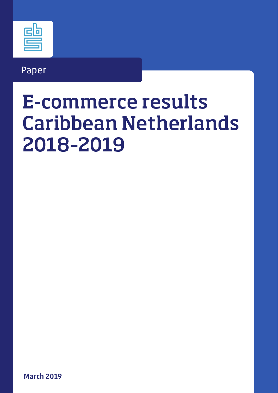### Paper

# E-commerce results Caribbean Netherlands 2018–2019

March 2019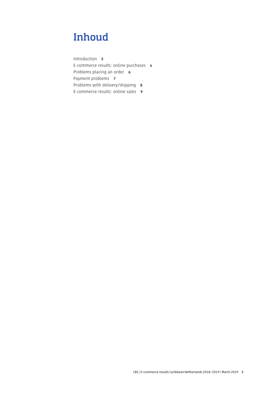### Inhoud

[Introduction](#page-2-0) 3 [E-commerce results: online purchases](#page-3-0) 4 [Problems placing an order](#page-5-0) 6 [Payment problems](#page-6-0) 7 [Problems with delivery/shipping](#page-7-0) 8 [E-commerce results: online sales](#page-8-0) 9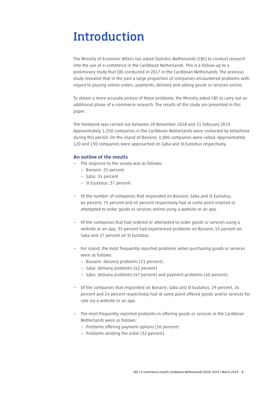# <span id="page-2-0"></span>Introduction

The Ministry of Economic Affairs has asked Statistics Netherlands (CBS) to conduct research into the use of e-commerce in the Caribbean Netherlands. This is a follow-up to a preliminary study that CBS conducted in 2017 in the Caribbean Netherlands. The previous study revealed that in the past a large proportion of companies encountered problems with regard to placing online orders, payments, delivery and selling goods or services online.

To obtain a more accurate picture of these problems, the Ministry asked CBS to carry out an additional phase of e-commerce research. The results of this study are presented in this paper.

The fieldwork was carried out between 20 November 2018 and 21 February 2019. Approximately 1,250 companies in the Caribbean Netherlands were contacted by telephone during this period. On the island of Bonaire, 1,000 companies were called. Approximately 120 and 130 companies were approached on Saba and St Eustatius respectively.

#### An outline of the results

- The response to the survey was as follows:
	- Bonaire: 25 percent
	- Saba: 55 percent
	- St Eustatius: 37 percent.
- Of the number of companies that responded on Bonaire, Saba and St Eustatius, 64 percent, 75 percent and 65 percent respectively had at some point ordered or attempted to order goods or services online using a website or an app.
- Of the companies that had ordered or attempted to order goods or services using a website or an app, 35 percent had experienced problems on Bonaire, 55 percent on Saba and 27 percent on St Eustatius.
- Per island, the most frequently reported problems when purchasing goods or services were as follows:
	- Bonaire: delivery problems (51 percent)
	- Saba: delivery problems (42 percent)
	- Saba: delivery problems (47 percent) and payment problems (40 percent).
- Of the companies that responded on Bonaire, Saba and St Eustatius, 29 percent, 26 percent and 14 percent respectively had at some point offered goods and/or services for sale via a website or an app.
- The most frequently reported problems in offering goods or services in the Caribbean Netherlands were as follows:
	- Problems offering payment options (50 percent)
	- Problems sending the order (32 percent).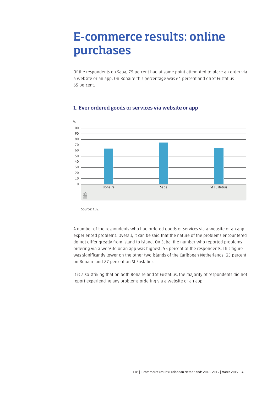### <span id="page-3-0"></span>E-commerce results: online purchases

Of the respondents on Saba, 75 percent had at some point attempted to place an order via a website or an app. On Bonaire this percentage was 64 percent and on St Eustatius 65 percent.



#### 1. Ever ordered goods or services via website or app

Source: CBS.

A number of the respondents who had ordered goods or services via a website or an app experienced problems. Overall, it can be said that the nature of the problems encountered do not differ greatly from island to island. On Saba, the number who reported problems ordering via a website or an app was highest: 55 percent of the respondents. This figure was significantly lower on the other two islands of the Caribbean Netherlands: 35 percent on Bonaire and 27 percent on St Eustatius.

It is also striking that on both Bonaire and St Eustatius, the majority of respondents did not report experiencing any problems ordering via a website or an app.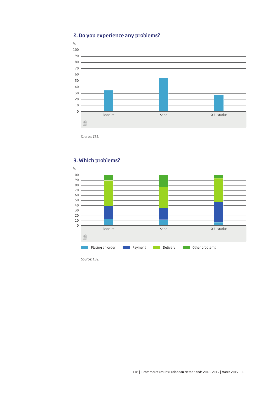

#### 2. Do you experience any problems?

Source: CBS.

#### 3. Which problems?

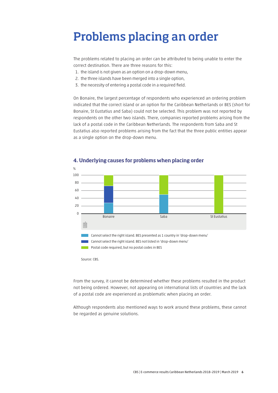# <span id="page-5-0"></span>Problems placing an order

The problems related to placing an order can be attributed to being unable to enter the correct destination. There are three reasons for this:

- 1. the island is not given as an option on a drop-down menu,
- 2. the three islands have been merged into a single option,
- 3. the necessity of entering a postal code in a required field.

On Bonaire, the largest percentage of respondents who experienced an ordering problem indicated that the correct island or an option for the Caribbean Netherlands or BES (short for Bonaire, St Eustatius and Saba) could not be selected. This problem was not reported by respondents on the other two islands. There, companies reported problems arising from the lack of a postal code in the Caribbean Netherlands. The respondents from Saba and St Eustatius also reported problems arising from the fact that the three public entities appear as a single option on the drop-down menu.



#### 4. Underlying causes for problems when placing order

Source: CBS.

From the survey, it cannot be determined whether these problems resulted in the product not being ordered. However, not appearing on international lists of countries and the lack of a postal code are experienced as problematic when placing an order.

Although respondents also mentioned ways to work around these problems, these cannot be regarded as genuine solutions.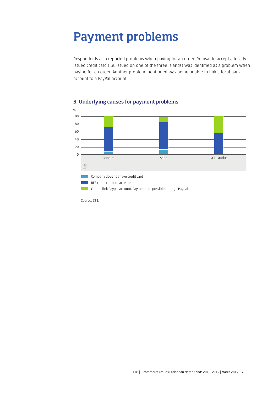### <span id="page-6-0"></span>Payment problems

Respondents also reported problems when paying for an order. Refusal to accept a locally issued credit card (i.e. issued on one of the three islands) was identified as a problem when paying for an order. Another problem mentioned was being unable to link a local bank account to a PayPal account.



#### 5. Underlying causes for payment problems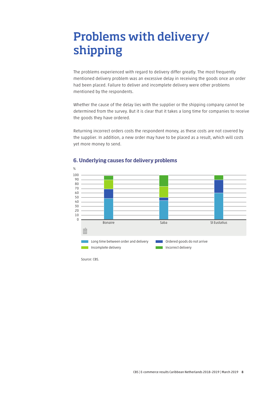# <span id="page-7-0"></span>Problems with delivery/ shipping

The problems experienced with regard to delivery differ greatly. The most frequently mentioned delivery problem was an excessive delay in receiving the goods once an order had been placed. Failure to deliver and incomplete delivery were other problems mentioned by the respondents.

Whether the cause of the delay lies with the supplier or the shipping company cannot be determined from the survey. But it is clear that it takes a long time for companies to receive the goods they have ordered.

Returning incorrect orders costs the respondent money, as these costs are not covered by the supplier. In addition, a new order may have to be placed as a result, which will costs yet more money to send.



#### 6. Underlying causes for delivery problems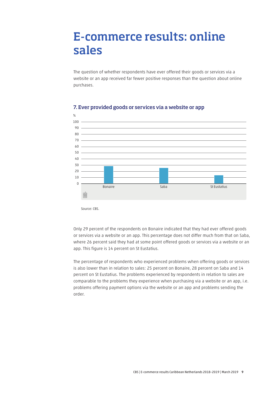### <span id="page-8-0"></span>E-commerce results: online sales

The question of whether respondents have ever offered their goods or services via a website or an app received far fewer positive responses than the question about online purchases.



#### 7. Ever provided goods or services via a website or app

Source: CBS.

Only 29 percent of the respondents on Bonaire indicated that they had ever offered goods or services via a website or an app. This percentage does not differ much from that on Saba, where 26 percent said they had at some point offered goods or services via a website or an app. This figure is 14 percent on St Eustatius.

The percentage of respondents who experienced problems when offering goods or services is also lower than in relation to sales: 25 percent on Bonaire, 28 percent on Saba and 14 percent on St Eustatius. The problems experienced by respondents in relation to sales are comparable to the problems they experience when purchasing via a website or an app, i.e. problems offering payment options via the website or an app and problems sending the order.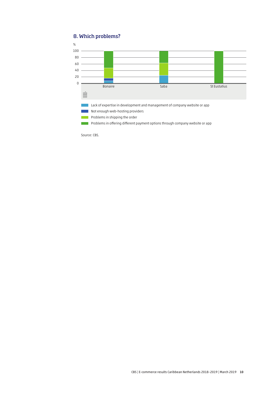#### 8. Which problems?